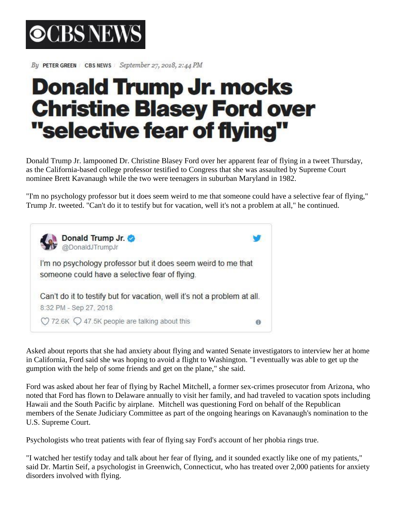

By PETER GREEN CBS NEWS September 27, 2018, 2:44 PM

## **Donald Trump Jr. mocks Christine Blasey Ford over** "selective fear of flying"

Donald Trump Jr. lampooned Dr. Christine Blasey Ford over her apparent fear of flying in a tweet Thursday, as the California-based college professor testified to Congress that she was assaulted by Supreme Court nominee Brett Kavanaugh while the two were teenagers in suburban Maryland in 1982.

"I'm no psychology professor but it does seem weird to me that someone could have a selective fear of flying," Trump Jr. tweeted. "Can't do it to testify but for vacation, well it's not a problem at all," he continued.



Asked about reports that she had anxiety about flying and wanted Senate investigators to interview her at home in California, Ford said she was hoping to avoid a flight to Washington. "I eventually was able to get up the gumption with the help of some friends and get on the plane," she said.

Ford was asked about her fear of flying by Rachel Mitchell, a former sex-crimes prosecutor from Arizona, who noted that Ford has flown to Delaware annually to visit her family, and had traveled to vacation spots including Hawaii and the South Pacific by airplane. Mitchell was questioning Ford on behalf of the Republican members of the Senate Judiciary Committee as part of the ongoing hearings on Kavanaugh's nomination to the U.S. Supreme Court.

Psychologists who treat patients with fear of flying say Ford's account of her phobia rings true.

"I watched her testify today and talk about her fear of flying, and it sounded exactly like one of my patients," said Dr. Martin Seif, a psychologist in Greenwich, Connecticut, who has treated over 2,000 patients for anxiety disorders involved with flying.